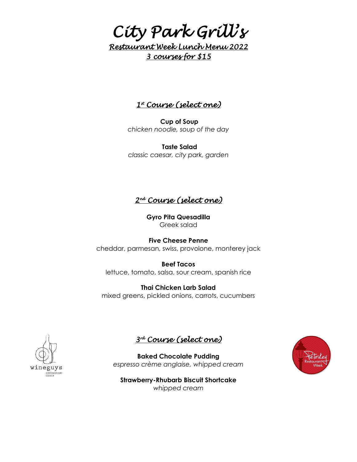# *City Park Grill's Restaurant Week Lunch Menu 2022 3 courses for \$15*

### <u>1\* Course (select one)</u>

**Cup of Soup** *chicken noodle, soup of the day*

**Taste Salad** *classic caesar, city park, garden*

*2 nd Course (select one)* 

**Gyro Pita Quesadilla** Greek salad

**Five Cheese Penne** cheddar, parmesan, swiss, provolone, monterey jack

**Beef Tacos** lettuce, tomato, salsa, sour cream, spanish rice

**Thai Chicken Larb Salad** mixed greens, pickled onions, carrots, cucumbers





**Baked Chocolate Pudding** *espresso crème anglaise, whipped cream*

**Strawberry-Rhubarb Biscuit Shortcake** *whipped cream*